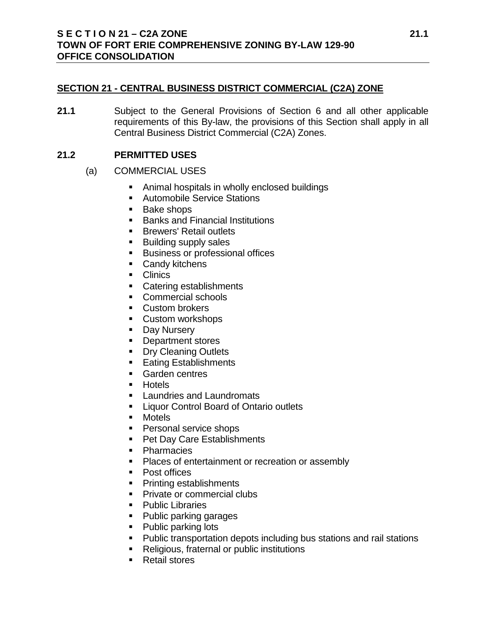# **SECTION 21 - CENTRAL BUSINESS DISTRICT COMMERCIAL (C2A) ZONE**

**21.1** Subject to the General Provisions of Section 6 and all other applicable requirements of this By-law, the provisions of this Section shall apply in all Central Business District Commercial (C2A) Zones.

# **21.2 PERMITTED USES**

- (a) COMMERCIAL USES
	- Animal hospitals in wholly enclosed buildings
	- **Automobile Service Stations**
	- Bake shops
	- **Banks and Financial Institutions**
	- **Brewers' Retail outlets**
	- Building supply sales
	- **Business or professional offices**
	- **Candy kitchens**
	- **Clinics**
	- Catering establishments
	- Commercial schools
	- **Custom brokers**
	- **Custom workshops**
	- **Day Nursery**
	- **Department stores**
	- **Dry Cleaning Outlets**
	- Eating Establishments
	- **Garden centres**
	- **Hotels**
	- **Laundries and Laundromats**
	- **Example 2** Liquor Control Board of Ontario outlets
	- Motels
	- **Personal service shops**
	- **Pet Day Care Establishments**
	- Pharmacies
	- **Places of entertainment or recreation or assembly**
	- Post offices
	- Printing establishments
	- **Private or commercial clubs**
	- Public Libraries
	- Public parking garages
	- Public parking lots
	- **Public transportation depots including bus stations and rail stations**
	- **Religious, fraternal or public institutions**
	- Retail stores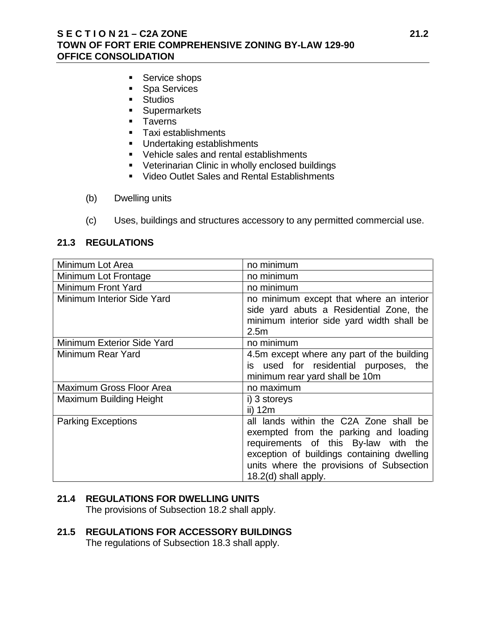# **S E C T I O N 21 – C2A ZONE 21.2 TOWN OF FORT ERIE COMPREHENSIVE ZONING BY-LAW 129-90 OFFICE CONSOLIDATION**

- Service shops
- **Spa Services**
- **Studios**
- **Supermarkets**
- **Taverns**
- **Taxi establishments**
- **Undertaking establishments**
- Vehicle sales and rental establishments
- **•** Veterinarian Clinic in wholly enclosed buildings
- **Video Outlet Sales and Rental Establishments**
- (b) Dwelling units
- (c) Uses, buildings and structures accessory to any permitted commercial use.

# **21.3 REGULATIONS**

| Minimum Lot Area                  | no minimum                                                                                                                                                                                                                                |
|-----------------------------------|-------------------------------------------------------------------------------------------------------------------------------------------------------------------------------------------------------------------------------------------|
| Minimum Lot Frontage              | no minimum                                                                                                                                                                                                                                |
| Minimum Front Yard                | no minimum                                                                                                                                                                                                                                |
| Minimum Interior Side Yard        | no minimum except that where an interior<br>side yard abuts a Residential Zone, the<br>minimum interior side yard width shall be<br>2.5 <sub>m</sub>                                                                                      |
| <b>Minimum Exterior Side Yard</b> | no minimum                                                                                                                                                                                                                                |
| Minimum Rear Yard                 | 4.5m except where any part of the building<br>is used for residential purposes, the<br>minimum rear yard shall be 10m                                                                                                                     |
| <b>Maximum Gross Floor Area</b>   | no maximum                                                                                                                                                                                                                                |
| <b>Maximum Building Height</b>    | i) 3 storeys<br>ii) 12m                                                                                                                                                                                                                   |
| <b>Parking Exceptions</b>         | all lands within the C2A Zone shall be<br>exempted from the parking and loading<br>requirements of this By-law with the<br>exception of buildings containing dwelling<br>units where the provisions of Subsection<br>18.2(d) shall apply. |

# **21.4 REGULATIONS FOR DWELLING UNITS**

The provisions of Subsection 18.2 shall apply.

#### **21.5 REGULATIONS FOR ACCESSORY BUILDINGS** The regulations of Subsection 18.3 shall apply.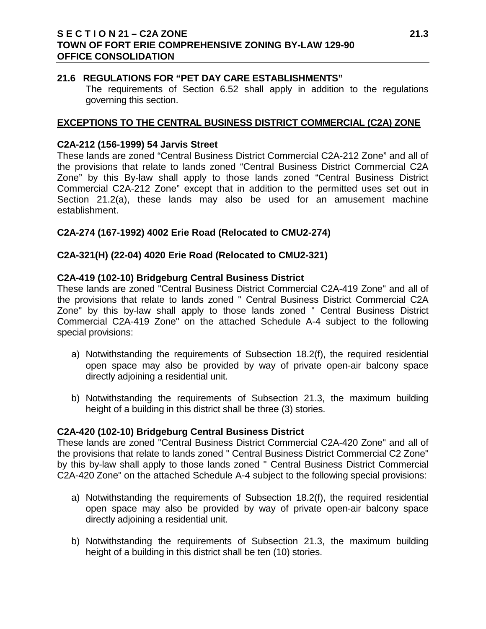# **S E C T I O N 21 – C2A ZONE 21.3 TOWN OF FORT ERIE COMPREHENSIVE ZONING BY-LAW 129-90 OFFICE CONSOLIDATION**

# **21.6 REGULATIONS FOR "PET DAY CARE ESTABLISHMENTS"**

The requirements of Section 6.52 shall apply in addition to the regulations governing this section.

# **EXCEPTIONS TO THE CENTRAL BUSINESS DISTRICT COMMERCIAL (C2A) ZONE**

### **C2A-212 (156-1999) 54 Jarvis Street**

These lands are zoned "Central Business District Commercial C2A-212 Zone" and all of the provisions that relate to lands zoned "Central Business District Commercial C2A Zone" by this By-law shall apply to those lands zoned "Central Business District Commercial C2A-212 Zone" except that in addition to the permitted uses set out in Section 21.2(a), these lands may also be used for an amusement machine establishment.

# **C2A-274 (167-1992) 4002 Erie Road (Relocated to CMU2-274)**

### **C2A-321(H) (22-04) 4020 Erie Road (Relocated to CMU2-321)**

### **C2A-419 (102-10) Bridgeburg Central Business District**

These lands are zoned "Central Business District Commercial C2A-419 Zone" and all of the provisions that relate to lands zoned " Central Business District Commercial C2A Zone" by this by-law shall apply to those lands zoned " Central Business District Commercial C2A-419 Zone" on the attached Schedule A-4 subject to the following special provisions:

- a) Notwithstanding the requirements of Subsection 18.2(f), the required residential open space may also be provided by way of private open-air balcony space directly adjoining a residential unit.
- b) Notwithstanding the requirements of Subsection 21.3, the maximum building height of a building in this district shall be three (3) stories.

# **C2A-420 (102-10) Bridgeburg Central Business District**

These lands are zoned "Central Business District Commercial C2A-420 Zone" and all of the provisions that relate to lands zoned " Central Business District Commercial C2 Zone" by this by-law shall apply to those lands zoned " Central Business District Commercial C2A-420 Zone" on the attached Schedule A-4 subject to the following special provisions:

- a) Notwithstanding the requirements of Subsection 18.2(f), the required residential open space may also be provided by way of private open-air balcony space directly adjoining a residential unit.
- b) Notwithstanding the requirements of Subsection 21.3, the maximum building height of a building in this district shall be ten (10) stories.